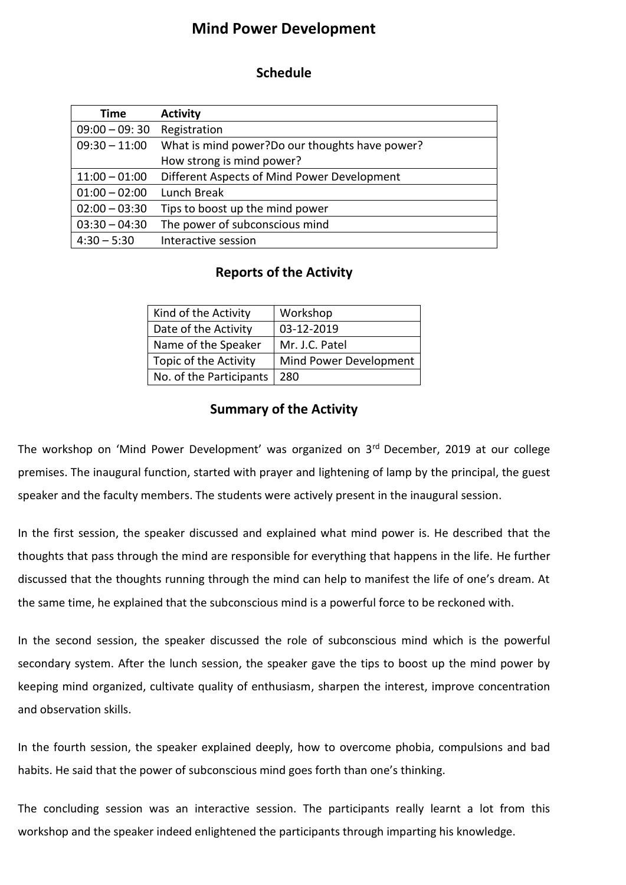## **Mind Power Development**

## **Schedule**

| Time            | <b>Activity</b>                                 |
|-----------------|-------------------------------------------------|
| $09:00 - 09:30$ | Registration                                    |
| $09:30 - 11:00$ | What is mind power? Do our thoughts have power? |
|                 | How strong is mind power?                       |
| $11:00 - 01:00$ | Different Aspects of Mind Power Development     |
| $01:00 - 02:00$ | Lunch Break                                     |
| $02:00 - 03:30$ | Tips to boost up the mind power                 |
| $03:30 - 04:30$ | The power of subconscious mind                  |
| $4:30 - 5:30$   | Interactive session                             |

## **Reports of the Activity**

| Kind of the Activity    | Workshop               |
|-------------------------|------------------------|
| Date of the Activity    | 03-12-2019             |
| Name of the Speaker     | Mr. J.C. Patel         |
| Topic of the Activity   | Mind Power Development |
| No. of the Participants | 280                    |

## **Summary of the Activity**

The workshop on 'Mind Power Development' was organized on 3rd December, 2019 at our college premises. The inaugural function, started with prayer and lightening of lamp by the principal, the guest speaker and the faculty members. The students were actively present in the inaugural session.

In the first session, the speaker discussed and explained what mind power is. He described that the thoughts that pass through the mind are responsible for everything that happens in the life. He further discussed that the thoughts running through the mind can help to manifest the life of one's dream. At the same time, he explained that the subconscious mind is a powerful force to be reckoned with.

In the second session, the speaker discussed the role of subconscious mind which is the powerful secondary system. After the lunch session, the speaker gave the tips to boost up the mind power by keeping mind organized, cultivate quality of enthusiasm, sharpen the interest, improve concentration and observation skills.

In the fourth session, the speaker explained deeply, how to overcome phobia, compulsions and bad habits. He said that the power of subconscious mind goes forth than one's thinking.

The concluding session was an interactive session. The participants really learnt a lot from this workshop and the speaker indeed enlightened the participants through imparting his knowledge.